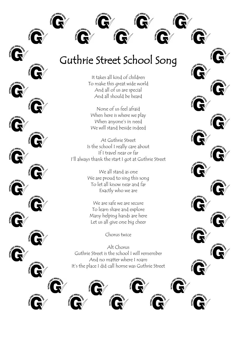

## Guthrie Street School Song

It takes all kind of children To make this great wide world And all of us are special And all should be heard

None of us feel afraid When here is where we play When anyone's in need We will stand beside indeed

At Guthrie Street Is the school I really care about If I travel near or far I'll always thank the start I got at Guthrie Street

> We all stand as one We are proud to sing this song To let all know near and far Exactly who we are

We are safe we are secure To learn share and explore Many helping hands are here Let us all give one big cheer

Chorus twice

Alt Chorus Guthrie Street is the school I will remember And no matter where I roam It's the place I did call home was Guthrie Street